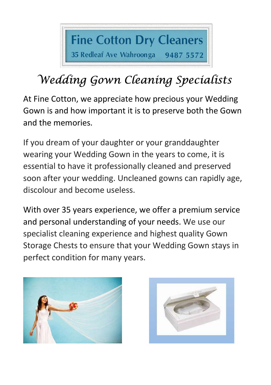

## Wedding Gown Cleaning Specialists

At Fine Cotton, we appreciate how precious your Wedding Gown is and how important it is to preserve both the Gown and the memories.

If you dream of your daughter or your granddaughter wearing your Wedding Gown in the years to come, it is essential to have it professionally cleaned and preserved soon after your wedding. Uncleaned gowns can rapidly age, discolour and become useless.

With over 35 years experience, we offer a premium service and personal understanding of your needs. We use our specialist cleaning experience and highest quality Gown Storage Chests to ensure that your Wedding Gown stays in perfect condition for many years.